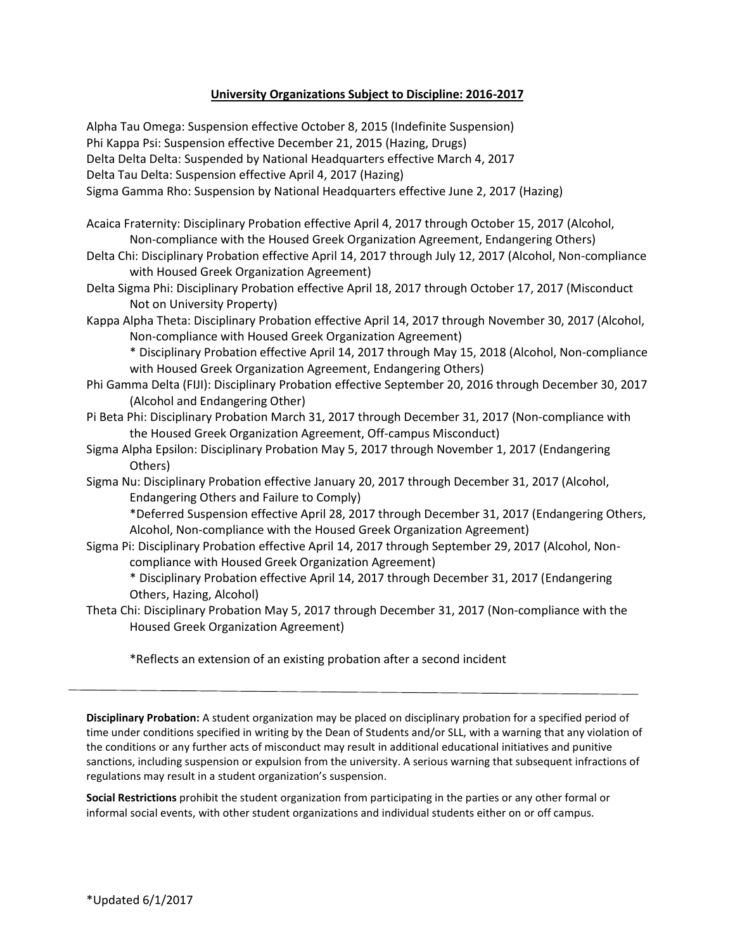## **University Organizations Subject to Discipline: 2016-2017**

Alpha Tau Omega: Suspension effective October 8, 2015 (Indefinite Suspension) Phi Kappa Psi: Suspension effective December 21, 2015 (Hazing, Drugs) Delta Delta Delta: Suspended by National Headquarters effective March 4, 2017 Delta Tau Delta: Suspension effective April 4, 2017 (Hazing) Sigma Gamma Rho: Suspension by National Headquarters effective June 2, 2017 (Hazing) Acaica Fraternity: Disciplinary Probation effective April 4, 2017 through October 15, 2017 (Alcohol, Non-compliance with the Housed Greek Organization Agreement, Endangering Others) Delta Chi: Disciplinary Probation effective April 14, 2017 through July 12, 2017 (Alcohol, Non-compliance with Housed Greek Organization Agreement) Delta Sigma Phi: Disciplinary Probation effective April 18, 2017 through October 17, 2017 (Misconduct Not on University Property) Kappa Alpha Theta: Disciplinary Probation effective April 14, 2017 through November 30, 2017 (Alcohol, Non-compliance with Housed Greek Organization Agreement) \* Disciplinary Probation effective April 14, 2017 through May 15, 2018 (Alcohol, Non-compliance with Housed Greek Organization Agreement, Endangering Others) Phi Gamma Delta (FIJI): Disciplinary Probation effective September 20, 2016 through December 30, 2017 (Alcohol and Endangering Other) Pi Beta Phi: Disciplinary Probation March 31, 2017 through December 31, 2017 (Non-compliance with the Housed Greek Organization Agreement, Off-campus Misconduct) Sigma Alpha Epsilon: Disciplinary Probation May 5, 2017 through November 1, 2017 (Endangering Others) Sigma Nu: Disciplinary Probation effective January 20, 2017 through December 31, 2017 (Alcohol, Endangering Others and Failure to Comply) \*Deferred Suspension effective April 28, 2017 through December 31, 2017 (Endangering Others, Alcohol, Non-compliance with the Housed Greek Organization Agreement) Sigma Pi: Disciplinary Probation effective April 14, 2017 through September 29, 2017 (Alcohol, Noncompliance with Housed Greek Organization Agreement) \* Disciplinary Probation effective April 14, 2017 through December 31, 2017 (Endangering Others, Hazing, Alcohol)

Theta Chi: Disciplinary Probation May 5, 2017 through December 31, 2017 (Non-compliance with the Housed Greek Organization Agreement)

\*Reflects an extension of an existing probation after a second incident

**Disciplinary Probation:** A student organization may be placed on disciplinary probation for a specified period of time under conditions specified in writing by the Dean of Students and/or SLL, with a warning that any violation of the conditions or any further acts of misconduct may result in additional educational initiatives and punitive sanctions, including suspension or expulsion from the university. A serious warning that subsequent infractions of regulations may result in a student organization's suspension.

**Social Restrictions** prohibit the student organization from participating in the parties or any other formal or informal social events, with other student organizations and individual students either on or off campus.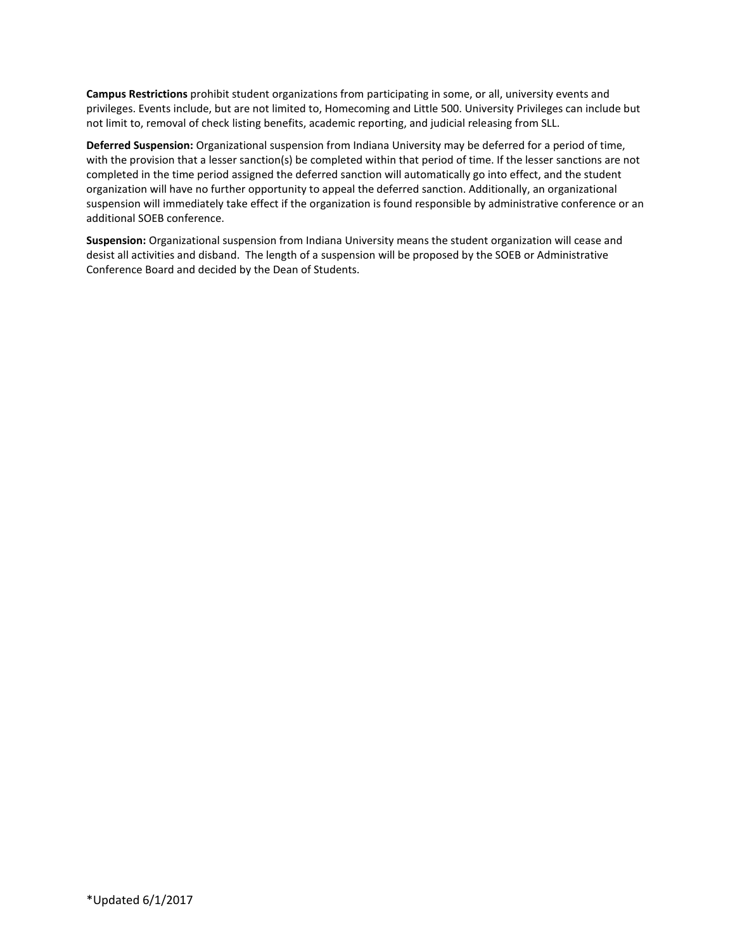**Campus Restrictions** prohibit student organizations from participating in some, or all, university events and privileges. Events include, but are not limited to, Homecoming and Little 500. University Privileges can include but not limit to, removal of check listing benefits, academic reporting, and judicial releasing from SLL.

**Deferred Suspension:** Organizational suspension from Indiana University may be deferred for a period of time, with the provision that a lesser sanction(s) be completed within that period of time. If the lesser sanctions are not completed in the time period assigned the deferred sanction will automatically go into effect, and the student organization will have no further opportunity to appeal the deferred sanction. Additionally, an organizational suspension will immediately take effect if the organization is found responsible by administrative conference or an additional SOEB conference.

**Suspension:** Organizational suspension from Indiana University means the student organization will cease and desist all activities and disband. The length of a suspension will be proposed by the SOEB or Administrative Conference Board and decided by the Dean of Students.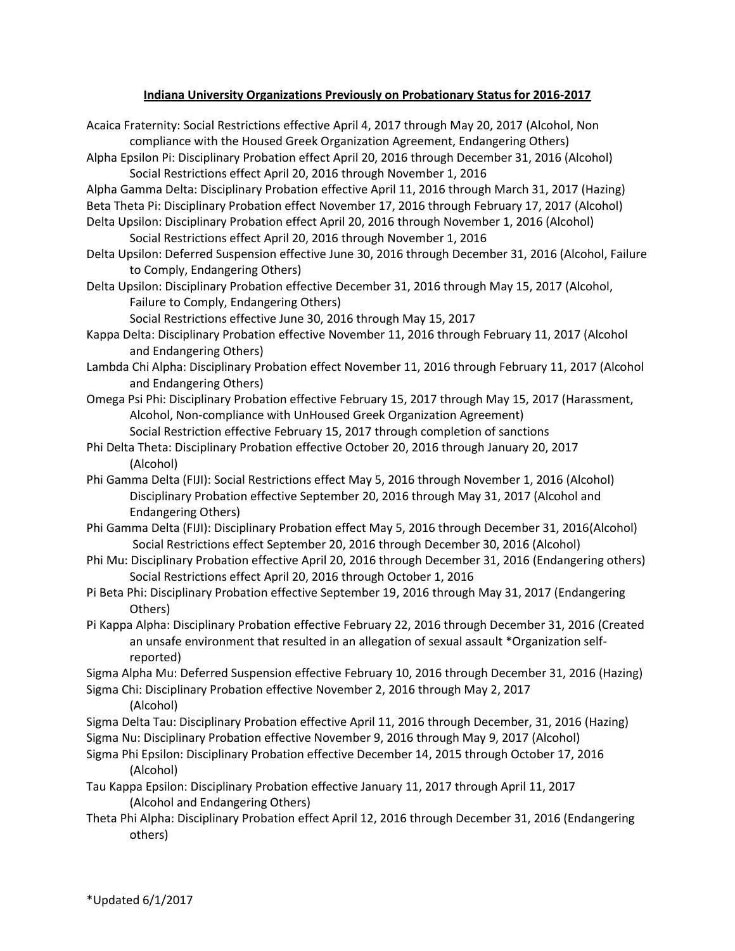## **Indiana University Organizations Previously on Probationary Status for 2016-2017**

- Acaica Fraternity: Social Restrictions effective April 4, 2017 through May 20, 2017 (Alcohol, Non compliance with the Housed Greek Organization Agreement, Endangering Others)
- Alpha Epsilon Pi: Disciplinary Probation effect April 20, 2016 through December 31, 2016 (Alcohol) Social Restrictions effect April 20, 2016 through November 1, 2016
- Alpha Gamma Delta: Disciplinary Probation effective April 11, 2016 through March 31, 2017 (Hazing) Beta Theta Pi: Disciplinary Probation effect November 17, 2016 through February 17, 2017 (Alcohol) Delta Upsilon: Disciplinary Probation effect April 20, 2016 through November 1, 2016 (Alcohol)
- Social Restrictions effect April 20, 2016 through November 1, 2016
- Delta Upsilon: Deferred Suspension effective June 30, 2016 through December 31, 2016 (Alcohol, Failure to Comply, Endangering Others)
- Delta Upsilon: Disciplinary Probation effective December 31, 2016 through May 15, 2017 (Alcohol, Failure to Comply, Endangering Others)
	- Social Restrictions effective June 30, 2016 through May 15, 2017
- Kappa Delta: Disciplinary Probation effective November 11, 2016 through February 11, 2017 (Alcohol and Endangering Others)
- Lambda Chi Alpha: Disciplinary Probation effect November 11, 2016 through February 11, 2017 (Alcohol and Endangering Others)
- Omega Psi Phi: Disciplinary Probation effective February 15, 2017 through May 15, 2017 (Harassment, Alcohol, Non-compliance with UnHoused Greek Organization Agreement) Social Restriction effective February 15, 2017 through completion of sanctions
- Phi Delta Theta: Disciplinary Probation effective October 20, 2016 through January 20, 2017 (Alcohol)
- Phi Gamma Delta (FIJI): Social Restrictions effect May 5, 2016 through November 1, 2016 (Alcohol) Disciplinary Probation effective September 20, 2016 through May 31, 2017 (Alcohol and Endangering Others)
- Phi Gamma Delta (FIJI): Disciplinary Probation effect May 5, 2016 through December 31, 2016(Alcohol) Social Restrictions effect September 20, 2016 through December 30, 2016 (Alcohol)
- Phi Mu: Disciplinary Probation effective April 20, 2016 through December 31, 2016 (Endangering others) Social Restrictions effect April 20, 2016 through October 1, 2016
- Pi Beta Phi: Disciplinary Probation effective September 19, 2016 through May 31, 2017 (Endangering Others)
- Pi Kappa Alpha: Disciplinary Probation effective February 22, 2016 through December 31, 2016 (Created an unsafe environment that resulted in an allegation of sexual assault \*Organization selfreported)
- Sigma Alpha Mu: Deferred Suspension effective February 10, 2016 through December 31, 2016 (Hazing)
- Sigma Chi: Disciplinary Probation effective November 2, 2016 through May 2, 2017 (Alcohol)
- Sigma Delta Tau: Disciplinary Probation effective April 11, 2016 through December, 31, 2016 (Hazing) Sigma Nu: Disciplinary Probation effective November 9, 2016 through May 9, 2017 (Alcohol)
- Sigma Phi Epsilon: Disciplinary Probation effective December 14, 2015 through October 17, 2016 (Alcohol)
- Tau Kappa Epsilon: Disciplinary Probation effective January 11, 2017 through April 11, 2017 (Alcohol and Endangering Others)
- Theta Phi Alpha: Disciplinary Probation effect April 12, 2016 through December 31, 2016 (Endangering others)